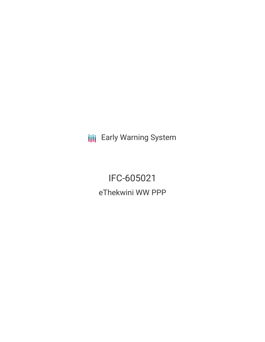**III** Early Warning System

IFC-605021 eThekwini WW PPP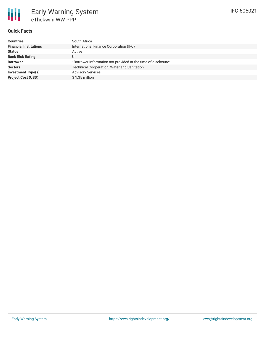### **Quick Facts**

| <b>Countries</b>              | South Africa                                                  |
|-------------------------------|---------------------------------------------------------------|
| <b>Financial Institutions</b> | International Finance Corporation (IFC)                       |
| <b>Status</b>                 | Active                                                        |
| <b>Bank Risk Rating</b>       |                                                               |
| <b>Borrower</b>               | *Borrower information not provided at the time of disclosure* |
| <b>Sectors</b>                | <b>Technical Cooperation, Water and Sanitation</b>            |
| <b>Investment Type(s)</b>     | <b>Advisory Services</b>                                      |
| <b>Project Cost (USD)</b>     | $$1.35$ million                                               |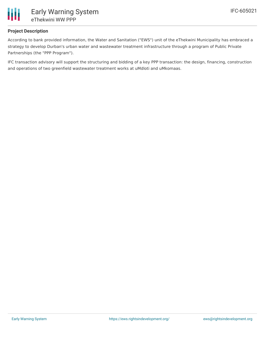

## **Project Description**

According to bank provided information, the Water and Sanitation ("EWS") unit of the eThekwini Municipality has embraced a strategy to develop Durban's urban water and wastewater treatment infrastructure through a program of Public Private Partnerships (the "PPP Program").

IFC transaction advisory will support the structuring and bidding of a key PPP transaction: the design, financing, construction and operations of two greenfield wastewater treatment works at uMdloti and uMkomaas.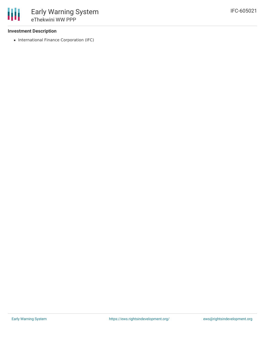### **Investment Description**

• International Finance Corporation (IFC)